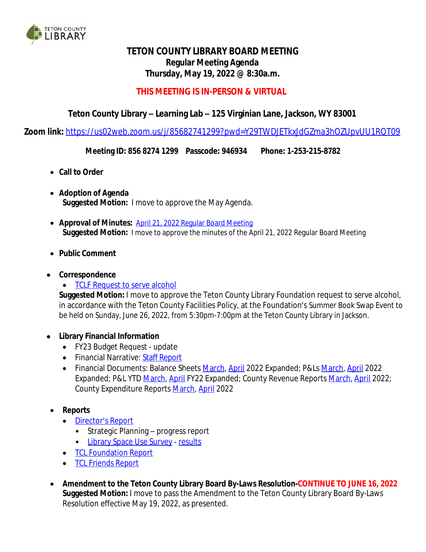

# **TETON COUNTY LIBRARY BOARD MEETING Regular Meeting Agenda Thursday, May 19, 2022 @ 8:30a.m.**

### **THIS MEETING IS IN-PERSON & VIRTUAL**

## **Teton County Library – Learning Lab – 125 Virginian Lane, Jackson, WY 83001**

**Zoom link:** <https://us02web.zoom.us/j/85682741299?pwd=Y29TWDJETkxJdGZma3hOZUpvUU1RQT09>

**Meeting ID: 856 8274 1299 Passcode: 946934 Phone: 1-253-215-8782**

- **Call to Order**
- **Adoption of Agenda Suggested Motion:** I move to approve the May Agenda.
- **Approval of Minutes:** [April 21, 2022 Regular Board Meeting](http://tclib.org/DocumentCenter/View/2823/TCL-Board-Minutes-April-2022) **[Suggested](http://tclib.org/DocumentCenter/View/2823/TCL-Board-Minutes-April-2022) [Motion:](http://tclib.org/DocumentCenter/View/2823/TCL-Board-Minutes-April-2022)** [I](http://tclib.org/DocumentCenter/View/2823/TCL-Board-Minutes-April-2022) [move](http://tclib.org/DocumentCenter/View/2823/TCL-Board-Minutes-April-2022) [to](http://tclib.org/DocumentCenter/View/2823/TCL-Board-Minutes-April-2022) [approve](http://tclib.org/DocumentCenter/View/2823/TCL-Board-Minutes-April-2022) [the](http://tclib.org/DocumentCenter/View/2823/TCL-Board-Minutes-April-2022) [minutes](http://tclib.org/DocumentCenter/View/2823/TCL-Board-Minutes-April-2022) [of the April 21, 2022 Regular Board Meeting](http://tclib.org/DocumentCenter/View/2823/TCL-Board-Minutes-April-2022)
- **[Public](http://tclib.org/DocumentCenter/View/2823/TCL-Board-Minutes-April-2022) [Comment](http://tclib.org/DocumentCenter/View/2823/TCL-Board-Minutes-April-2022)**
- **[Correspondence](http://tclib.org/DocumentCenter/View/2823/TCL-Board-Minutes-April-2022)**
	- [TCLF Request to serve alcohol](http://tclib.org/DocumentCenter/View/2827/Correspondence---Request-to-Serve-Alcohol---Summer-Book-Swap-2022---TCL-Board)

**Suggested Motion:** I move to approve the Teton County Library Foundation request to serve alcohol, in accordance with the Teton County Facilities Policy, at the Foundation's Summer Book Swap Event to be held on Sunday, June 26, 2022, from 5:30pm-7:00pm at the Teton County Library in Jackson.

- **Library Financial Information**
	- FY23 Budget Request update
	- Financial Narrative: Staff [Report](https://wy-tetoncountylibrary.civicplus.com/DocumentCenter/View/2864/April-2022-Financial-Narrative)
	- Financial Documents: Balance Sheets [March,](http://tclib.org/DocumentCenter/View/2828/P-and-L-March-2022-Expanded) [April](https://wy-tetoncountylibrary.civicplus.com/DocumentCenter/View/2862/Balance-Sheet-April-2022) 2022 Expanded; P&Ls March, [April](https://wy-tetoncountylibrary.civicplus.com/DocumentCenter/View/2861/P-and-L-April-2022-Expanded) 2022 Expanded; P&L YTD [March](http://tclib.org/DocumentCenter/View/2829/P-and-L-YTD-FY22-March-Expanded), [April](https://wy-tetoncountylibrary.civicplus.com/DocumentCenter/View/2860/P-and-L-YTD-FY22-April-Expanded) FY22 Expanded; County Revenue Reports [March,](http://tclib.org/DocumentCenter/View/2768/2022_03_RevReport-Detail) [April](http://tclib.org/DocumentCenter/View/2833/2022_04_RevReport-1) 2022; County Expenditure Reports [March,](http://tclib.org/DocumentCenter/View/2767/2022_03ExpReport-Detail) [April](http://tclib.org/DocumentCenter/View/2834/2022_04_ExpDetail-1) 2022
- **Reports**
	- [Director](https://wy-tetoncountylibrary.civicplus.com/DocumentCenter/View/2837/Staff-Report---Directors-Report-52022)'s [Report](https://wy-tetoncountylibrary.civicplus.com/DocumentCenter/View/2837/Staff-Report---Directors-Report-52022)
		- Strategic Planning progress report
		- [Library Space Use Survey](https://wy-tetoncountylibrary.civicplus.com/DocumentCenter/View/2863/Space-Study-Spring-2022---Narrative)  [results](https://wy-tetoncountylibrary.civicplus.com/DocumentCenter/View/2859/Space-Study-Analysis-2022)
	- **[TCL](http://tclib.org/DocumentCenter/View/2826/TCL-Foundation-Report-May-2022) [Foundation](http://tclib.org/DocumentCenter/View/2826/TCL-Foundation-Report-May-2022) [Report](http://tclib.org/DocumentCenter/View/2826/TCL-Foundation-Report-May-2022)**
	- [TCL](https://wy-tetoncountylibrary.civicplus.com/DocumentCenter/View/2858/TCL-Friends-Report-May-2022) [Friends](https://wy-tetoncountylibrary.civicplus.com/DocumentCenter/View/2858/TCL-Friends-Report-May-2022) [Report](https://wy-tetoncountylibrary.civicplus.com/DocumentCenter/View/2858/TCL-Friends-Report-May-2022)
- **Amendment to the Teton County Library Board By-Laws Resolution-CONTINUE TO JUNE 16, 2022 Suggested Motion:** I move to pass the Amendment to the Teton County Library Board By-Laws Resolution effective May 19, 2022, as presented.